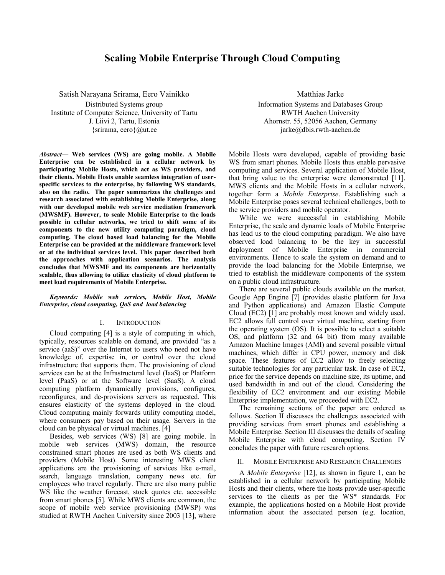# **Scaling Mobile Enterprise Through Cloud Computing**

Satish Narayana Srirama, Eero Vainikko Distributed Systems group Institute of Computer Science, University of Tartu J. Liivi 2, Tartu, Estonia  $\{s$ rirama, eero $\}$ @ut.ee

*Abstract***— Web services (WS) are going mobile. A Mobile Enterprise can be established in a cellular network by participating Mobile Hosts, which act as WS providers, and their clients. Mobile Hosts enable seamless integration of userspecific services to the enterprise, by following WS standards, also on the radio. The paper summarizes the challenges and research associated with establishing Mobile Enterprise, along with our developed mobile web service mediation framework (MWSMF). However, to scale Mobile Enterprise to the loads possible in cellular networks, we tried to shift some of its components to the new utility computing paradigm, cloud computing. The cloud based load balancing for the Mobile Enterprise can be provided at the middleware framework level or at the individual services level. This paper described both the approaches with application scenarios. The analysis concludes that MWSMF and its components are horizontally scalable, thus allowing to utilize elasticity of cloud platform to meet load requirements of Mobile Enterprise.** 

# *Keywords: Mobile web services, Mobile Host, Mobile Enterprise, cloud computing, QoS and load balancing*

# I. INTRODUCTION

Cloud computing [4] is a style of computing in which, typically, resources scalable on demand, are provided "as a service (aaS)" over the Internet to users who need not have knowledge of, expertise in, or control over the cloud infrastructure that supports them. The provisioning of cloud services can be at the Infrastructural level (IaaS) or Platform level (PaaS) or at the Software level (SaaS). A cloud computing platform dynamically provisions, configures, reconfigures, and de-provisions servers as requested. This ensures elasticity of the systems deployed in the cloud. Cloud computing mainly forwards utility computing model, where consumers pay based on their usage. Servers in the cloud can be physical or virtual machines. [4]

Besides, web services (WS) [8] are going mobile. In mobile web services (MWS) domain, the resource constrained smart phones are used as both WS clients and providers (Mobile Host). Some interesting MWS client applications are the provisioning of services like e-mail, search, language translation, company news etc. for employees who travel regularly. There are also many public WS like the weather forecast, stock quotes etc. accessible from smart phones [5]. While MWS clients are common, the scope of mobile web service provisioning (MWSP) was studied at RWTH Aachen University since 2003 [13], where

Matthias Jarke Information Systems and Databases Group RWTH Aachen University Ahornstr. 55, 52056 Aachen, Germany jarke@dbis.rwth-aachen.de

Mobile Hosts were developed, capable of providing basic WS from smart phones. Mobile Hosts thus enable pervasive computing and services. Several application of Mobile Host, that bring value to the enterprise were demonstrated [11]. MWS clients and the Mobile Hosts in a cellular network, together form a *Mobile Enterprise*. Establishing such a Mobile Enterprise poses several technical challenges, both to the service providers and mobile operator.

While we were successful in establishing Mobile Enterprise, the scale and dynamic loads of Mobile Enterprise has lead us to the cloud computing paradigm. We also have observed load balancing to be the key in successful deployment of Mobile Enterprise in commercial environments. Hence to scale the system on demand and to provide the load balancing for the Mobile Enterprise, we tried to establish the middleware components of the system on a public cloud infrastructure.

There are several public clouds available on the market. Google App Engine [7] (provides elastic platform for Java and Python applications) and Amazon Elastic Compute Cloud (EC2) [1] are probably most known and widely used. EC2 allows full control over virtual machine, starting from the operating system (OS). It is possible to select a suitable OS, and platform (32 and 64 bit) from many available Amazon Machine Images (AMI) and several possible virtual machines, which differ in CPU power, memory and disk space. These features of EC2 allow to freely selecting suitable technologies for any particular task. In case of EC2, price for the service depends on machine size, its uptime, and used bandwidth in and out of the cloud. Considering the flexibility of EC2 environment and our existing Mobile Enterprise implementation, we proceeded with EC2.

The remaining sections of the paper are ordered as follows. Section II discusses the challenges associated with providing services from smart phones and establishing a Mobile Enterprise. Section III discusses the details of scaling Mobile Enterprise with cloud computing. Section IV concludes the paper with future research options.

### II. MOBILE ENTERPRISE AND RESEARCH CHALLENGES

A *Mobile Enterprise* [12], as shown in figure 1, can be established in a cellular network by participating Mobile Hosts and their clients, where the hosts provide user-specific services to the clients as per the WS\* standards. For example, the applications hosted on a Mobile Host provide information about the associated person (e.g. location,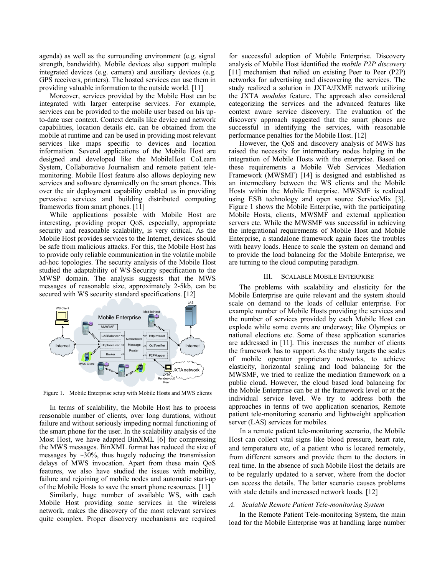agenda) as well as the surrounding environment (e.g. signal strength, bandwidth). Mobile devices also support multiple integrated devices (e.g. camera) and auxiliary devices (e.g. GPS receivers, printers). The hosted services can use them in providing valuable information to the outside world. [11]

Moreover, services provided by the Mobile Host can be integrated with larger enterprise services. For example, services can be provided to the mobile user based on his upto-date user context. Context details like device and network capabilities, location details etc. can be obtained from the mobile at runtime and can be used in providing most relevant services like maps specific to devices and location information. Several applications of the Mobile Host are designed and developed like the MobileHost CoLearn System, Collaborative Journalism and remote patient telemonitoring. Mobile Host feature also allows deploying new services and software dynamically on the smart phones. This over the air deployment capability enabled us in providing pervasive services and building distributed computing frameworks from smart phones. [11]

While applications possible with Mobile Host are interesting, providing proper QoS, especially, appropriate security and reasonable scalability, is very critical. As the Mobile Host provides services to the Internet, devices should be safe from malicious attacks. For this, the Mobile Host has to provide only reliable communication in the volatile mobile ad-hoc topologies. The security analysis of the Mobile Host studied the adaptability of WS-Security specification to the MWSP domain. The analysis suggests that the MWS messages of reasonable size, approximately 2-5kb, can be secured with WS security standard specifications. [12]



Figure 1. Mobile Enterprise setup with Mobile Hosts and MWS clients

In terms of scalability, the Mobile Host has to process reasonable number of clients, over long durations, without failure and without seriously impeding normal functioning of the smart phone for the user. In the scalability analysis of the Most Host, we have adapted BinXML [6] for compressing the MWS messages. BinXML format has reduced the size of messages by  $\sim$ 30%, thus hugely reducing the transmission delays of MWS invocation. Apart from these main QoS features, we also have studied the issues with mobility, failure and rejoining of mobile nodes and automatic start-up of the Mobile Hosts to save the smart phone resources. [11]

Similarly, huge number of available WS, with each Mobile Host providing some services in the wireless network, makes the discovery of the most relevant services quite complex. Proper discovery mechanisms are required for successful adoption of Mobile Enterprise. Discovery analysis of Mobile Host identified the *mobile P2P discovery* [11] mechanism that relied on existing Peer to Peer (P2P) networks for advertising and discovering the services. The study realized a solution in JXTA/JXME network utilizing the JXTA *modules* feature. The approach also considered categorizing the services and the advanced features like context aware service discovery. The evaluation of the discovery approach suggested that the smart phones are successful in identifying the services, with reasonable performance penalties for the Mobile Host. [12]

However, the QoS and discovery analysis of MWS has raised the necessity for intermediary nodes helping in the integration of Mobile Hosts with the enterprise. Based on these requirements a Mobile Web Services Mediation Framework (MWSMF) [14] is designed and established as an intermediary between the WS clients and the Mobile Hosts within the Mobile Enterprise. MWSMF is realized using ESB technology and open source ServiceMix [3]. Figure 1 shows the Mobile Enterprise, with the participating Mobile Hosts, clients, MWSMF and external application servers etc. While the MWSMF was successful in achieving the integrational requirements of Mobile Host and Mobile Enterprise, a standalone framework again faces the troubles with heavy loads. Hence to scale the system on demand and to provide the load balancing for the Mobile Enterprise, we are turning to the cloud computing paradigm.

## III. SCALABLE MOBILE ENTERPRISE

The problems with scalability and elasticity for the Mobile Enterprise are quite relevant and the system should scale on demand to the loads of cellular enterprise. For example number of Mobile Hosts providing the services and the number of services provided by each Mobile Host can explode while some events are underway; like Olympics or national elections etc. Some of these application scenarios are addressed in [11]. This increases the number of clients the framework has to support. As the study targets the scales of mobile operator proprietary networks, to achieve elasticity, horizontal scaling and load balancing for the MWSMF, we tried to realize the mediation framework on a public cloud. However, the cloud based load balancing for the Mobile Enterprise can be at the framework level or at the individual service level. We try to address both the approaches in terms of two application scenarios, Remote patient tele-monitoring scenario and lightweight application server (LAS) services for mobiles.

In a remote patient tele-monitoring scenario, the Mobile Host can collect vital signs like blood pressure, heart rate, and temperature etc, of a patient who is located remotely, from different sensors and provide them to the doctors in real time. In the absence of such Mobile Host the details are to be regularly updated to a server, where from the doctor can access the details. The latter scenario causes problems with stale details and increased network loads. [12]

# *A. Scalable Remote Patient Tele-monitoring System*

In the Remote Patient Tele-monitoring System, the main load for the Mobile Enterprise was at handling large number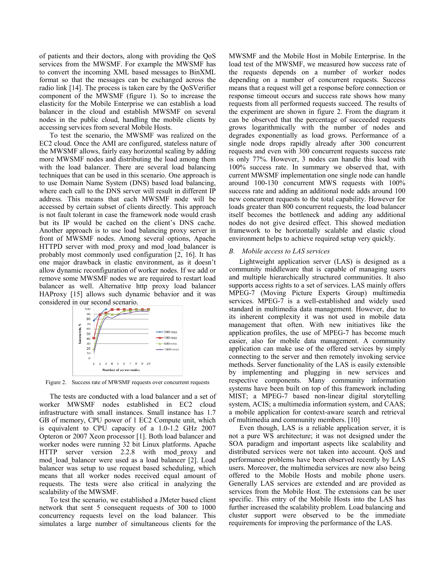of patients and their doctors, along with providing the QoS services from the MWSMF. For example the MWSMF has to convert the incoming XML based messages to BinXML format so that the messages can be exchanged across the radio link [14]. The process is taken care by the QoSVerifier component of the MWSMF (figure 1). So to increase the elasticity for the Mobile Enterprise we can establish a load balancer in the cloud and establish MWSMF on several nodes in the public cloud, handling the mobile clients by accessing services from several Mobile Hosts.

To test the scenario, the MWSMF was realized on the EC2 cloud. Once the AMI are configured, stateless nature of the MWSMF allows, fairly easy horizontal scaling by adding more MWSMF nodes and distributing the load among them with the load balancer. There are several load balancing techniques that can be used in this scenario. One approach is to use Domain Name System (DNS) based load balancing, where each call to the DNS server will result in different IP address. This means that each MWSMF node will be accessed by certain subset of clients directly. This approach is not fault tolerant in case the framework node would crash but its IP would be cached on the client's DNS cache. Another approach is to use load balancing proxy server in front of MWSMF nodes. Among several options, Apache HTTPD server with mod proxy and mod load balancer is probably most commonly used configuration [2, 16]. It has one major drawback in elastic environment, as it doesn't allow dynamic reconfiguration of worker nodes. If we add or remove some MWSMF nodes we are required to restart load balancer as well. Alternative http proxy load balancer HAProxy [15] allows such dynamic behavior and it was considered in our second scenario.



Figure 2. Success rate of MWSMF requests over concurrent requests

The tests are conducted with a load balancer and a set of worker MWSMF nodes established in EC2 cloud infrastructure with small instances. Small instance has 1.7 GB of memory, CPU power of 1 EC2 Compute unit, which is equivalent to CPU capacity of a 1.0-1.2 GHz 2007 Opteron or 2007 Xeon processor [1]. Both load balancer and worker nodes were running 32 bit Linux platforms. Apache HTTP server version 2.2.8 with mod\_proxy and mod\_load\_balancer were used as a load balancer [2]. Load balancer was setup to use request based scheduling, which means that all worker nodes received equal amount of requests. The tests were also critical in analyzing the scalability of the MWSMF.

To test the scenario, we established a JMeter based client network that sent 5 consequent requests of 300 to 1000 concurrency requests level on the load balancer. This simulates a large number of simultaneous clients for the MWSMF and the Mobile Host in Mobile Enterprise. In the load test of the MWSMF, we measured how success rate of the requests depends on a number of worker nodes depending on a number of concurrent requests. Success means that a request will get a response before connection or response timeout occurs and success rate shows how many requests from all performed requests succeed. The results of the experiment are shown in figure 2. From the diagram it can be observed that the percentage of succeeded requests grows logarithmically with the number of nodes and degrades exponentially as load grows. Performance of a single node drops rapidly already after 300 concurrent requests and even with 300 concurrent requests success rate is only 77%. However, 3 nodes can handle this load with 100% success rate. In summary we observed that, with current MWSMF implementation one single node can handle around 100-130 concurrent MWS requests with 100% success rate and adding an additional node adds around 100 new concurrent requests to the total capability. However for loads greater than 800 concurrent requests, the load balancer itself becomes the bottleneck and adding any additional nodes do not give desired effect. This showed mediation framework to be horizontally scalable and elastic cloud environment helps to achieve required setup very quickly.

# *B. Mobile access to LAS services*

Lightweight application server (LAS) is designed as a community middleware that is capable of managing users and multiple hierarchically structured communities. It also supports access rights to a set of services. LAS mainly offers MPEG-7 (Moving Picture Experts Group) multimedia services. MPEG-7 is a well-established and widely used standard in multimedia data management. However, due to its inherent complexity it was not used in mobile data management that often. With new initiatives like the application profiles, the use of MPEG-7 has become much easier, also for mobile data management. A community application can make use of the offered services by simply connecting to the server and then remotely invoking service methods. Server functionality of the LAS is easily extensible by implementing and plugging in new services and respective components. Many community information systems have been built on top of this framework including MIST; a MPEG-7 based non-linear digital storytelling system, ACIS; a multimedia information system, and CAAS; a mobile application for context-aware search and retrieval of multimedia and community members. [10]

Even though, LAS is a reliable application server, it is not a pure WS architecture; it was not designed under the SOA paradigm and important aspects like scalability and distributed services were not taken into account. QoS and performance problems have been observed recently by LAS users. Moreover, the multimedia services are now also being offered to the Mobile Hosts and mobile phone users. Generally LAS services are extended and are provided as services from the Mobile Host. The extensions can be user specific. This entry of the Mobile Hosts into the LAS has further increased the scalability problem. Load balancing and cluster support were observed to be the immediate requirements for improving the performance of the LAS.